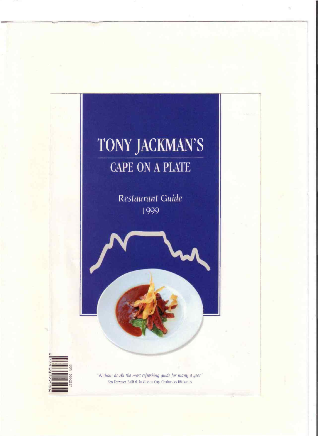## TONY JACKMAN'S **CAPE ON A PLATE**

Restaurant Guide 1999



"Without doubt the most refreshing guide for many a year" Ken Forrester, Balli de la Ville du Cap, Chaîne des Rôtisseurs